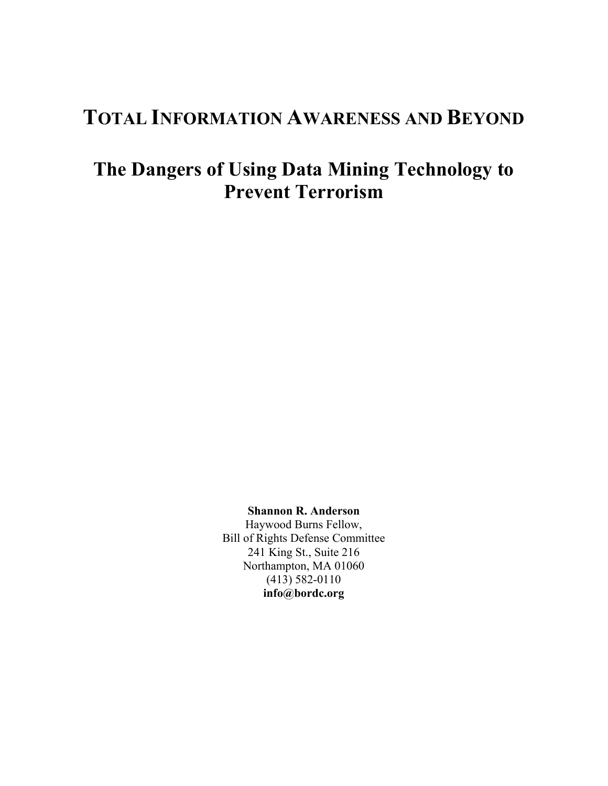# **TOTAL INFORMATION AWARENESS AND BEYOND**

# **The Dangers of Using Data Mining Technology to Prevent Terrorism**

**Shannon R. Anderson**  Haywood Burns Fellow,

Bill of Rights Defense Committee 241 King St., Suite 216 Northampton, MA 01060 (413) 582-0110 **info@bordc.org**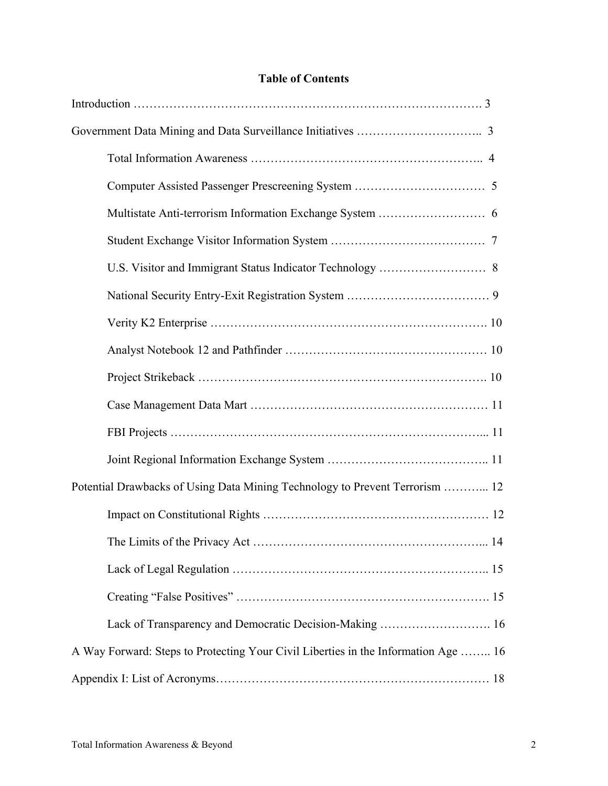## **Table of Contents**

| Potential Drawbacks of Using Data Mining Technology to Prevent Terrorism  12       |  |
|------------------------------------------------------------------------------------|--|
|                                                                                    |  |
|                                                                                    |  |
|                                                                                    |  |
|                                                                                    |  |
| Lack of Transparency and Democratic Decision-Making  16                            |  |
| A Way Forward: Steps to Protecting Your Civil Liberties in the Information Age  16 |  |
|                                                                                    |  |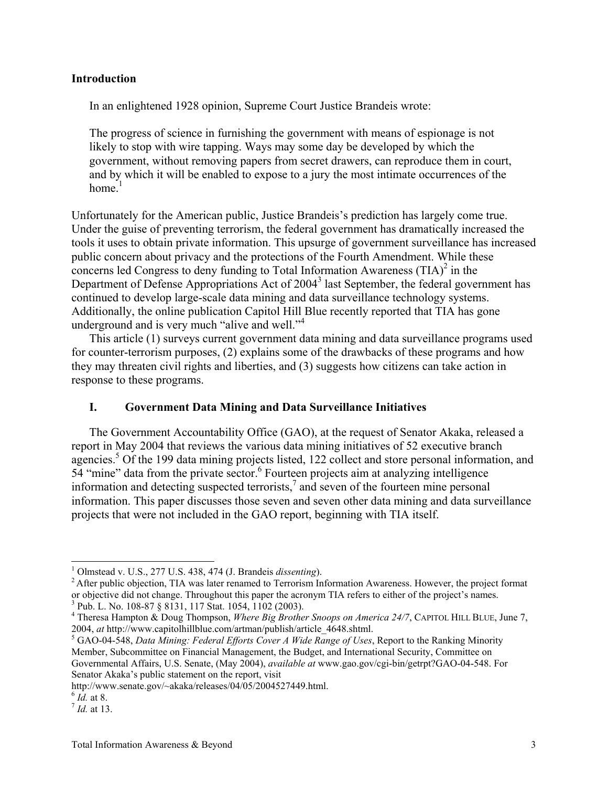#### **Introduction**

In an enlightened 1928 opinion, Supreme Court Justice Brandeis wrote:

The progress of science in furnishing the government with means of espionage is not likely to stop with wire tapping. Ways may some day be developed by which the government, without removing papers from secret drawers, can reproduce them in court, and by which it will be enabled to expose to a jury the most intimate occurrences of the home $<sup>1</sup>$  $<sup>1</sup>$  $<sup>1</sup>$ </sup>

Unfortunately for the American public, Justice Brandeis's prediction has largely come true. Under the guise of preventing terrorism, the federal government has dramatically increased the tools it uses to obtain private information. This upsurge of government surveillance has increased public concern about privacy and the protections of the Fourth Amendment. While these concerns led Congress to deny funding to Total Information Awareness  $(TIA)^2$  $(TIA)^2$  in the Department of Defense Appropriations Act of 2004<sup>3</sup> last September, the federal government has continued to develop large-scale data mining and data surveillance technology systems. Additionally, the online publication Capitol Hill Blue recently reported that TIA has gone underground and is very much "alive and well."<sup>[4](#page-2-3)</sup>

This article (1) surveys current government data mining and data surveillance programs used for counter-terrorism purposes, (2) explains some of the drawbacks of these programs and how they may threaten civil rights and liberties, and (3) suggests how citizens can take action in response to these programs.

#### **I. Government Data Mining and Data Surveillance Initiatives**

The Government Accountability Office (GAO), at the request of Senator Akaka, released a report in May 2004 that reviews the various data mining initiatives of 52 executive branch agencies.<sup>5</sup> Of the 199 data mining projects listed, 122 collect and store personal information, and 54 "mine" data from the private sector.<sup>[6](#page-2-5)</sup> Fourteen projects aim at analyzing intelligence information and detecting suspected terrorists, $\frac{7}{1}$  $\frac{7}{1}$  $\frac{7}{1}$  and seven of the fourteen mine personal information. This paper discusses those seven and seven other data mining and data surveillance projects that were not included in the GAO report, beginning with TIA itself.

 $\frac{1}{1}$ 

<span id="page-2-1"></span><span id="page-2-0"></span><sup>&</sup>lt;sup>1</sup> Olmstead v. U.S., 277 U.S. 438, 474 (J. Brandeis *dissenting*).<br><sup>2</sup> After public objection, TIA was later renamed to Terrorism Information Awareness. However, the project format or objective did not change. Throughout this paper the acronym TIA refers to either of the project's names. 3 <sup>3</sup> Pub. L. No. 108-87 § 8131, 117 Stat. 1054, 1102 (2003).

<span id="page-2-3"></span><span id="page-2-2"></span>Theresa Hampton & Doug Thompson, *Where Big Brother Snoops on America 24/7*, CAPITOL HILL BLUE, June 7, 2004, *at* http://www.capitolhillblue.com/artman/publish/article\_4648.shtml. 5

<span id="page-2-4"></span>GAO-04-548, *Data Mining: Federal Efforts Cover A Wide Range of Uses*, Report to the Ranking Minority Member, Subcommittee on Financial Management, the Budget, and International Security, Committee on Governmental Affairs, U.S. Senate, (May 2004), *available at* www.gao.gov/cgi-bin/getrpt?GAO-04-548. For Senator Akaka's public statement on the report, visit

http://www.senate.gov/~akaka/releases/04/05/2004527449.html.<br><sup>6</sup> *Id.* at 8. *7 Id.* at 13.

<span id="page-2-5"></span>

<span id="page-2-6"></span>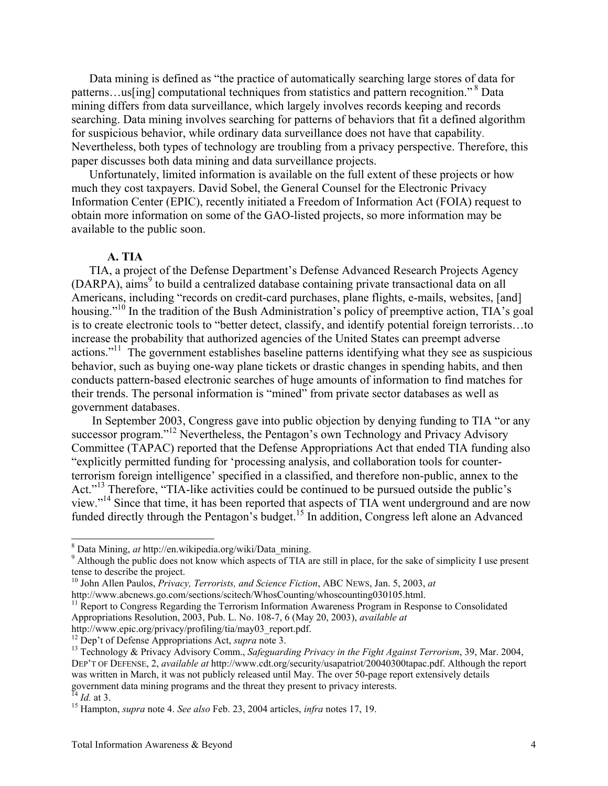Data mining is defined as "the practice of automatically searching large stores of data for patterns…us[ing] computational techniques from statistics and pattern recognition." [8](#page-3-0) Data mining differs from data surveillance, which largely involves records keeping and records searching. Data mining involves searching for patterns of behaviors that fit a defined algorithm for suspicious behavior, while ordinary data surveillance does not have that capability. Nevertheless, both types of technology are troubling from a privacy perspective. Therefore, this paper discusses both data mining and data surveillance projects.

Unfortunately, limited information is available on the full extent of these projects or how much they cost taxpayers. David Sobel, the General Counsel for the Electronic Privacy Information Center (EPIC), recently initiated a Freedom of Information Act (FOIA) request to obtain more information on some of the GAO-listed projects, so more information may be available to the public soon.

#### **A. TIA**

TIA, a project of the Defense Department's Defense Advanced Research Projects Agency (DARPA), aims<sup>[9](#page-3-1)</sup> to build a centralized database containing private transactional data on all Americans, including "records on credit-card purchases, plane flights, e-mails, websites, [and] housing."<sup>10</sup> In the tradition of the Bush Administration's policy of preemptive action, TIA's goal is to create electronic tools to "better detect, classify, and identify potential foreign terrorists…to increase the probability that authorized agencies of the United States can preempt adverse actions."<sup>11</sup> The government establishes baseline patterns identifying what they see as suspicious behavior, such as buying one-way plane tickets or drastic changes in spending habits, and then conducts pattern-based electronic searches of huge amounts of information to find matches for their trends. The personal information is "mined" from private sector databases as well as government databases.

In September 2003, Congress gave into public objection by denying funding to TIA "or any successor program."<sup>12</sup> Nevertheless, the Pentagon's own Technology and Privacy Advisory Committee (TAPAC) reported that the Defense Appropriations Act that ended TIA funding also "explicitly permitted funding for 'processing analysis, and collaboration tools for counterterrorism foreign intelligence' specified in a classified, and therefore non-public, annex to the Act."<sup>13</sup> Therefore, "TIA-like activities could be continued to be pursued outside the public's view."[14](#page-3-6) Since that time, it has been reported that aspects of TIA went underground and are now funded directly through the Pentagon's budget.<sup>15</sup> In addition, Congress left alone an Advanced

<span id="page-3-0"></span>8 Data Mining, *at* http://en.wikipedia.org/wiki/Data\_mining. <sup>9</sup>

<span id="page-3-1"></span><sup>&</sup>lt;sup>9</sup> Although the public does not know which aspects of TIA are still in place, for the sake of simplicity I use present tense to describe the project.

<span id="page-3-2"></span><sup>&</sup>lt;sup>10</sup> John Allen Paulos, *Privacy, Terrorists, and Science Fiction*, ABC NEWS, Jan. 5, 2003, *at* http://www.abcnews.go.com/sections/scitech/WhosCounting/whoscounting030105.html.

<span id="page-3-3"></span> $11$  Report to Congress Regarding the Terrorism Information Awareness Program in Response to Consolidated Appropriations Resolution, 2003, Pub. L. No. 108-7, 6 (May 20, 2003), *available at*

<span id="page-3-5"></span><span id="page-3-4"></span>

http://www.epic.org/privacy/profiling/tia/may03\_report.pdf.<br><sup>12</sup> Dep't of Defense Appropriations Act, *supra* note 3.<br><sup>13</sup> Technology & Privacy Advisory Comm., *Safeguarding Privacy in the Fight Against Terrorism*, 39, Mar DEP'T OF DEFENSE, 2, *available at* http://www.cdt.org/security/usapatriot/20040300tapac.pdf. Although the report was written in March, it was not publicly released until May. The over 50-page report extensively details government data mining programs and the threat they present to privacy interests.<br><sup>14</sup> *Id.* at 3.<br><sup>15</sup> Hampton, *supra* note 4. *See also* Feb. 23, 2004 articles, *infra* notes 17, 19.

<span id="page-3-6"></span>

<span id="page-3-7"></span>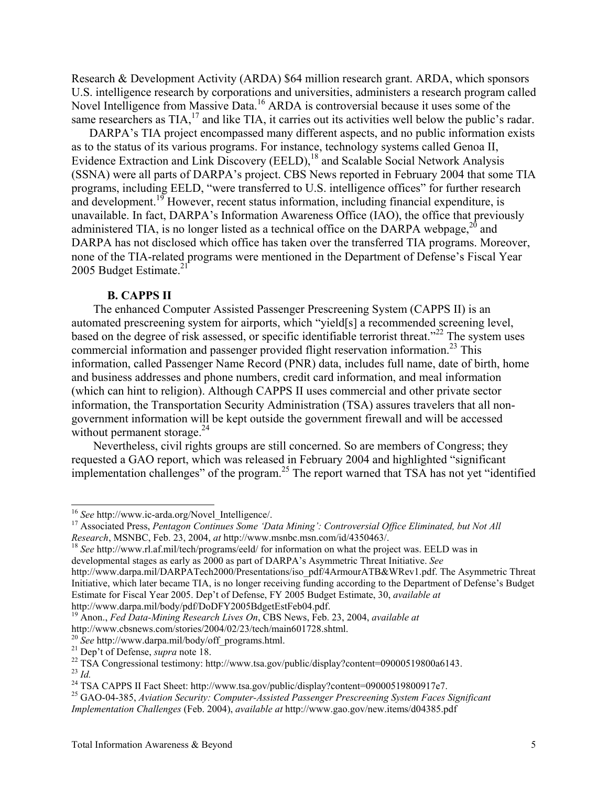Research & Development Activity (ARDA) \$64 million research grant. ARDA, which sponsors U.S. intelligence research by corporations and universities, administers a research program called Novel Intelligence from Massive Data.<sup>16</sup> ARDA is controversial because it uses some of the same researchers as  $TIA$ ,<sup>17</sup> and like TIA, it carries out its activities well below the public's radar.

DARPA's TIA project encompassed many different aspects, and no public information exists as to the status of its various programs. For instance, technology systems called Genoa II, Evidence Extraction and Link Discovery (EELD),<sup>18</sup> and Scalable Social Network Analysis (SSNA) were all parts of DARPA's project. CBS News reported in February 2004 that some TIA programs, including EELD, "were transferred to U.S. intelligence offices" for further research and development.<sup>19</sup> However, recent status information, including financial expenditure, is unavailable. In fact, DARPA's Information Awareness Office (IAO), the office that previously administered TIA, is no longer listed as a technical office on the DARPA webpage, $^{20}$  and DARPA has not disclosed which office has taken over the transferred TIA programs. Moreover, none of the TIA-related programs were mentioned in the Department of Defense's Fiscal Year 2005 Budget Estimate.<sup>[21](#page-4-5)</sup>

#### **B. CAPPS II**

The enhanced Computer Assisted Passenger Prescreening System (CAPPS II) is an automated prescreening system for airports, which "yield[s] a recommended screening level, based on the degree of risk assessed, or specific identifiable terrorist threat."<sup>22</sup> The system uses commercial information and passenger provided flight reservation information.<sup>23</sup> This information, called Passenger Name Record (PNR) data, includes full name, date of birth, home and business addresses and phone numbers, credit card information, and meal information (which can hint to religion). Although CAPPS II uses commercial and other private sector information, the Transportation Security Administration (TSA) assures travelers that all nongovernment information will be kept outside the government firewall and will be accessed without permanent storage. $^{24}$ 

Nevertheless, civil rights groups are still concerned. So are members of Congress; they requested a GAO report, which was released in February 2004 and highlighted "significant implementation challenges" of the program. [25](#page-4-9) The report warned that TSA has not yet "identified

<span id="page-4-1"></span><span id="page-4-0"></span>

<sup>&</sup>lt;sup>16</sup> *See* http://www.ic-arda.org/Novel\_Intelligence/.<br><sup>17</sup> Associated Press, *Pentagon Continues Some 'Data Mining': Controversial Office Eliminated, but Not All Research, MSNBC, Feb. 23, 2004, <i>at* http://www.msnbc.msn.c

<span id="page-4-2"></span><sup>&</sup>lt;sup>18</sup> See http://www.rl.af.mil/tech/programs/eeld/ for information on what the project was. EELD was in developmental stages as early as 2000 as part of DARPA's Asymmetric Threat Initiative. *See*  http://www.darpa.mil/DARPATech2000/Presentations/iso\_pdf/4ArmourATB&WRev1.pdf. The Asymmetric Threat Initiative, which later became TIA, is no longer receiving funding according to the Department of Defense's Budget Estimate for Fiscal Year 2005. Dep't of Defense, FY 2005 Budget Estimate, 30, *available at*

<span id="page-4-3"></span><sup>&</sup>lt;sup>19</sup> Anon., *Fed Data-Mining Research Lives On*, CBS News, Feb. 23, 2004, *available at* 

<span id="page-4-4"></span>

<span id="page-4-6"></span><span id="page-4-5"></span>

http://www.cbsnews.com/stories/2004/02/23/tech/main601728.shtml.<br>
<sup>20</sup> See http://www.darpa.mil/body/off\_programs.html.<br>
<sup>21</sup> Dep't of Defense, *supra* note 18.<br>
<sup>22</sup> TSA Congressional testimony: http://www.tsa.gov/public/

<span id="page-4-8"></span><span id="page-4-7"></span>

<span id="page-4-9"></span>*Implementation Challenges* (Feb. 2004), *available at* http://www.gao.gov/new.items/d04385.pdf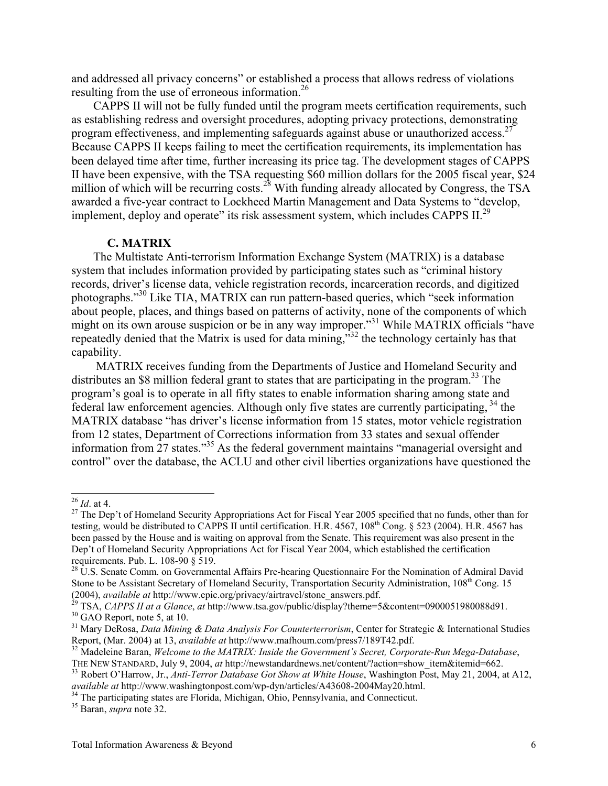and addressed all privacy concerns" or established a process that allows redress of violations resulting from the use of erroneous information.<sup>26</sup>

CAPPS II will not be fully funded until the program meets certification requirements, such as establishing redress and oversight procedures, adopting privacy protections, demonstrating program effectiveness, and implementing safeguards against abuse or unauthorized access.<sup>27</sup> Because CAPPS II keeps failing to meet the certification requirements, its implementation has been delayed time after time, further increasing its price tag. The development stages of CAPPS II have been expensive, with the TSA requesting \$60 million dollars for the 2005 fiscal year, \$24 million of which will be recurring costs.<sup>28</sup> With funding already allocated by Congress, the TSA awarded a five-year contract to Lockheed Martin Management and Data Systems to "develop, implement, deploy and operate" its risk assessment system, which includes CAPPS II.<sup>[29](#page-5-3)</sup>

#### **C. MATRIX**

The Multistate Anti-terrorism Information Exchange System (MATRIX) is a database system that includes information provided by participating states such as "criminal history records, driver's license data, vehicle registration records, incarceration records, and digitized photographs."[30](#page-5-4) Like TIA, MATRIX can run pattern-based queries, which "seek information about people, places, and things based on patterns of activity, none of the components of which might on its own arouse suspicion or be in any way improper."<sup>31</sup> While MATRIX officials "have repeatedly denied that the Matrix is used for data mining,<sup>332</sup> the technology certainly has that capability.

MATRIX receives funding from the Departments of Justice and Homeland Security and distributes an \$8 million federal grant to states that are participating in the program.<sup>33</sup> The program's goal is to operate in all fifty states to enable information sharing among state and federal law enforcement agencies. Although only five states are currently participating,  $34$  the MATRIX database "has driver's license information from 15 states, motor vehicle registration from 12 states, Department of Corrections information from 33 states and sexual offender information from 27 states."[35](#page-5-9) As the federal government maintains "managerial oversight and control" over the database, the ACLU and other civil liberties organizations have questioned the

<span id="page-5-1"></span><span id="page-5-0"></span>

<sup>&</sup>lt;sup>26</sup> *Id.* at 4.<br><sup>27</sup> The Dep't of Homeland Security Appropriations Act for Fiscal Year 2005 specified that no funds, other than for testing, would be distributed to CAPPS II until certification. H.R. 4567,  $108^{th}$  Cong. § 523 (2004). H.R. 4567 has been passed by the House and is waiting on approval from the Senate. This requirement was also present in the Dep't of Homeland Security Appropriations Act for Fiscal Year 2004, which established the certification requirements. Pub. L. 108-90 § 519.<br><sup>28</sup> U.S. Senate Comm. on Governmental Affairs Pre-hearing Questionnaire For the Nomination of Admiral David

<span id="page-5-2"></span>Stone to be Assistant Secretary of Homeland Security, Transportation Security Administration, 108<sup>th</sup> Cong. 15

<span id="page-5-3"></span><sup>(2004),</sup> *available at http://www.epic.org/privacy/airtravel/stone\_answers.pdf.*<br><sup>29</sup> TSA, *CAPPS II at a Glance, at http://www.tsa.gov/public/display?theme=5&content=0900051980088d91.*<br><sup>30</sup> GAO Report, note 5, at 10.

<span id="page-5-5"></span><span id="page-5-4"></span><sup>&</sup>lt;sup>31</sup> Mary DeRosa, *Data Mining & Data Analysis For Counterterrorism*, Center for Strategic & International Studies Report, (Mar. 2004) at 13, *available at http://www.mafhoum.com/press7/189T42.pdf.* 

<span id="page-5-6"></span><sup>&</sup>lt;sup>32</sup> Madeleine Baran, *Welcome to the MATRIX: Inside the Government's Secret, Corporate-Run Mega-Database*,

<span id="page-5-7"></span>THE NEW STANDARD, July 9, 2004, *at* http://newstandardnews.net/content/?action=show\_item&itemid=662. <sup>33</sup> Robert O'Harrow, Jr., *Anti-Terror Database Got Show at White House*, Washington Post, May 21, 2004, at A12, *available at* http://www.washingtonpost.com/wp-dyn/articles/A43608-2004May20.html. 34 The participating states are Florida, Michigan, Ohio, Pennsylvania, and Connecticut. 35 Baran, *supra* note 32.

<span id="page-5-8"></span>

<span id="page-5-9"></span>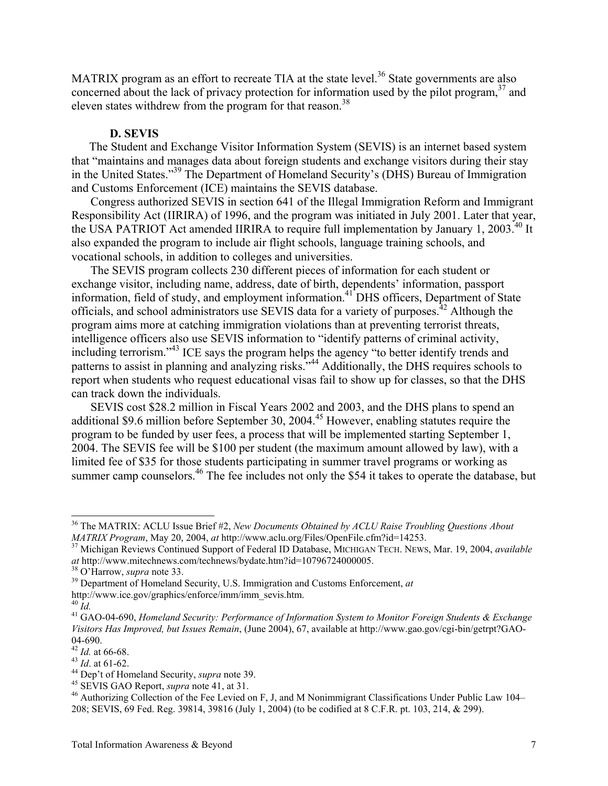MATRIX program as an effort to recreate TIA at the state level.<sup>36</sup> State governments are also concerned about the lack of privacy protection for information used by the pilot program, [37](#page-6-1) and eleven states withdrew from the program for that reason.<sup>38</sup>

#### **D. SEVIS**

The Student and Exchange Visitor Information System (SEVIS) is an internet based system that "maintains and manages data about foreign students and exchange visitors during their stay in the United States."[39](#page-6-3) The Department of Homeland Security's (DHS) Bureau of Immigration and Customs Enforcement (ICE) maintains the SEVIS database.

Congress authorized SEVIS in section 641 of the Illegal Immigration Reform and Immigrant Responsibility Act (IIRIRA) of 1996, and the program was initiated in July 2001. Later that year, the USA PATRIOT Act amended IIRIRA to require full implementation by January 1, 2003.<sup>40</sup> It also expanded the program to include air flight schools, language training schools, and vocational schools, in addition to colleges and universities.

The SEVIS program collects 230 different pieces of information for each student or exchange visitor, including name, address, date of birth, dependents' information, passport information, field of study, and employment information.<sup>41</sup> DHS officers, Department of State officials, and school administrators use SEVIS data for a variety of purposes.<sup>42</sup> Although the program aims more at catching immigration violations than at preventing terrorist threats, intelligence officers also use SEVIS information to "identify patterns of criminal activity, including terrorism.["43](#page-6-7) ICE says the program helps the agency "to better identify trends and patterns to assist in planning and analyzing risks."<sup>44</sup> Additionally, the DHS requires schools to report when students who request educational visas fail to show up for classes, so that the DHS can track down the individuals.

SEVIS cost \$28.2 million in Fiscal Years 2002 and 2003, and the DHS plans to spend an additional \$9.6 million before September 30, 2004.<sup>45</sup> However, enabling statutes require the program to be funded by user fees, a process that will be implemented starting September 1, 2004. The SEVIS fee will be \$100 per student (the maximum amount allowed by law), with a limited fee of \$35 for those students participating in summer travel programs or working as summer camp counselors.<sup>46</sup> The fee includes not only the \$54 it takes to operate the database, but

<span id="page-6-0"></span>36 The MATRIX: ACLU Issue Brief #2, *New Documents Obtained by ACLU Raise Troubling Questions About MATRIX Program*, May 20, 2004, *at* http://www.aclu.org/Files/OpenFile.cfm?id=14253. 37 Michigan Reviews Continued Support of Federal ID Database, MICHIGAN TECH. NEWS, Mar. 19, 2004, *available* 

<span id="page-6-1"></span>*at* http://www.mitechnews.com/technews/bydate.htm?id=10796724000005. 38 O'Harrow, *supra* note 33. 39 Department of Homeland Security, U.S. Immigration and Customs Enforcement, *at*

<span id="page-6-2"></span>

<span id="page-6-3"></span>

<span id="page-6-5"></span><span id="page-6-4"></span>

http://www.ice.gov/graphics/enforce/imm/imm\_sevis.htm.<br><sup>40</sup> *Id.* <br><sup>41</sup> GAO-04-690, *Homeland Security: Performance of Information System to Monitor Foreign Students & Exchange Visitors Has Improved, but Issues Remain*, (June 2004), 67, available at http://www.gao.gov/cgi-bin/getrpt?GAO-04-690.<br> $42$  *Id.* at 66-68.

<span id="page-6-6"></span>

<span id="page-6-7"></span>

<span id="page-6-8"></span>

<span id="page-6-10"></span><span id="page-6-9"></span>

<sup>&</sup>lt;sup>43</sup> *Id.* at 61-62.<br><sup>44</sup> Dep't of Homeland Security, *supra* note 39.<br><sup>45</sup> SEVIS GAO Report, *supra* note 41, at 31.<br><sup>45</sup> Authorizing Collection of the Fee Levied on F, J, and M Nonimmigrant Classifications Under Public 208; SEVIS, 69 Fed. Reg. 39814, 39816 (July 1, 2004) (to be codified at 8 C.F.R. pt. 103, 214, & 299).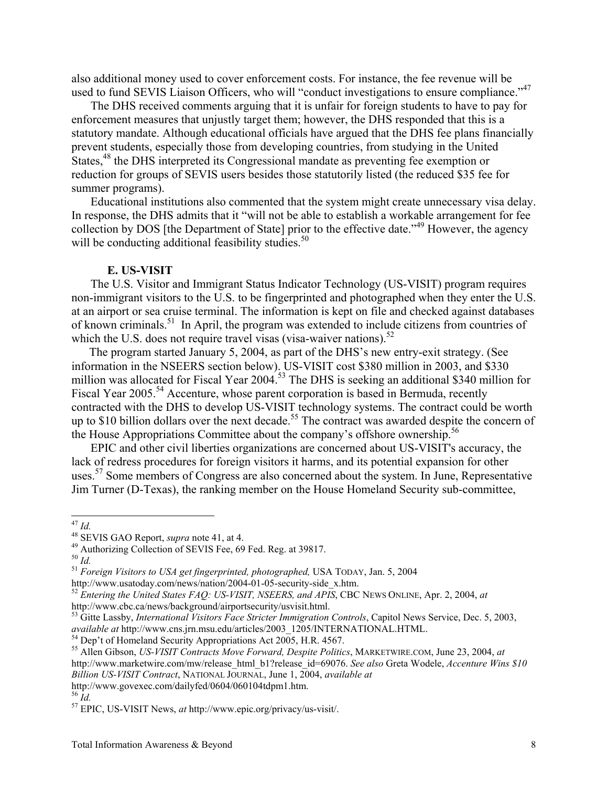also additional money used to cover enforcement costs. For instance, the fee revenue will be used to fund SEVIS Liaison Officers, who will "conduct investigations to ensure compliance."<sup>47</sup>

The DHS received comments arguing that it is unfair for foreign students to have to pay for enforcement measures that unjustly target them; however, the DHS responded that this is a statutory mandate. Although educational officials have argued that the DHS fee plans financially prevent students, especially those from developing countries, from studying in the United States,<sup>48</sup> the DHS interpreted its Congressional mandate as preventing fee exemption or reduction for groups of SEVIS users besides those statutorily listed (the reduced \$35 fee for summer programs).

Educational institutions also commented that the system might create unnecessary visa delay. In response, the DHS admits that it "will not be able to establish a workable arrangement for fee collection by DOS [the Department of State] prior to the effective date."<sup>49</sup> However, the agency will be conducting additional feasibility studies. $50$ 

#### **E. US-VISIT**

The U.S. Visitor and Immigrant Status Indicator Technology (US-VISIT) program requires non-immigrant visitors to the U.S. to be fingerprinted and photographed when they enter the U.S. at an airport or sea cruise terminal. The information is kept on file and checked against databases of known criminals[.51](#page-7-4) In April, the program was extended to include citizens from countries of which the U.S. does not require travel visas (visa-waiver nations).<sup>52</sup>

The program started January 5, 2004, as part of the DHS's new entry-exit strategy. (See information in the NSEERS section below). US-VISIT cost \$380 million in 2003, and \$330 million was allocated for Fiscal Year 2004.<sup>53</sup> The DHS is seeking an additional \$340 million for Fiscal Year 2005.<sup>54</sup> Accenture, whose parent corporation is based in Bermuda, recently contracted with the DHS to develop US-VISIT technology systems. The contract could be worth up to \$10 billion dollars over the next decade.<sup>55</sup> The contract was awarded despite the concern of the House Appropriations Committee about the company's offshore ownership.<sup>56</sup>

EPIC and other civil liberties organizations are concerned about US-VISIT's accuracy, the lack of redress procedures for foreign visitors it harms, and its potential expansion for other uses.<sup>57</sup> Some members of Congress are also concerned about the system. In June, Representative Jim Turner (D-Texas), the ranking member on the House Homeland Security sub-committee,

<span id="page-7-0"></span>

<span id="page-7-1"></span>

<span id="page-7-2"></span>

<span id="page-7-4"></span><span id="page-7-3"></span>

<sup>&</sup>lt;sup>47</sup> *Id.*<br><sup>48</sup> SEVIS GAO Report, *supra* note 41, at 4.<br><sup>49</sup> Authorizing Collection of SEVIS Fee, 69 Fed. Reg. at 39817.<br><sup>50</sup> *Id.*<br><sup>51</sup> *Foreign Visitors to USA get fingerprinted, photographed, USA TODAY, Jan.* 5, 2004<br>

<span id="page-7-5"></span><sup>&</sup>lt;sup>52</sup> Entering the United States FAQ: US-VISIT, NSEERS, and APIS, CBC NEWS ONLINE, Apr. 2, 2004, *at* http://www.cbc.ca/news/background/airportsecurity/usvisit.html.

<span id="page-7-6"></span><sup>&</sup>lt;sup>53</sup> Gitte Lassby, *International Visitors Face Stricter Immigration Controls*, Capitol News Service, Dec. 5, 2003, *available at* http://www.cns.jrn.msu.edu/articles/2003\_1205/INTERNATIONAL.HTML.

<span id="page-7-8"></span>

<span id="page-7-7"></span><sup>&</sup>lt;sup>54</sup> Dep't of Homeland Security Appropriations Act 2005, H.R. 4567.<br><sup>55</sup> Allen Gibson, *US-VISIT Contracts Move Forward, Despite Politics*, MARKETWIRE.COM, June 23, 2004, *at* http://www.marketwire.com/mw/release\_html\_b1?release\_id=69076. *See also* Greta Wodele, *Accenture Wins \$10 Billion US-VISIT Contract*, NATIONAL JOURNAL, June 1, 2004, *available at*

<span id="page-7-10"></span><span id="page-7-9"></span>

<sup>&</sup>lt;sup>56</sup> *Id.*<br><sup>57</sup> EPIC, US-VISIT News, *at* http://www.epic.org/privacy/us-visit/.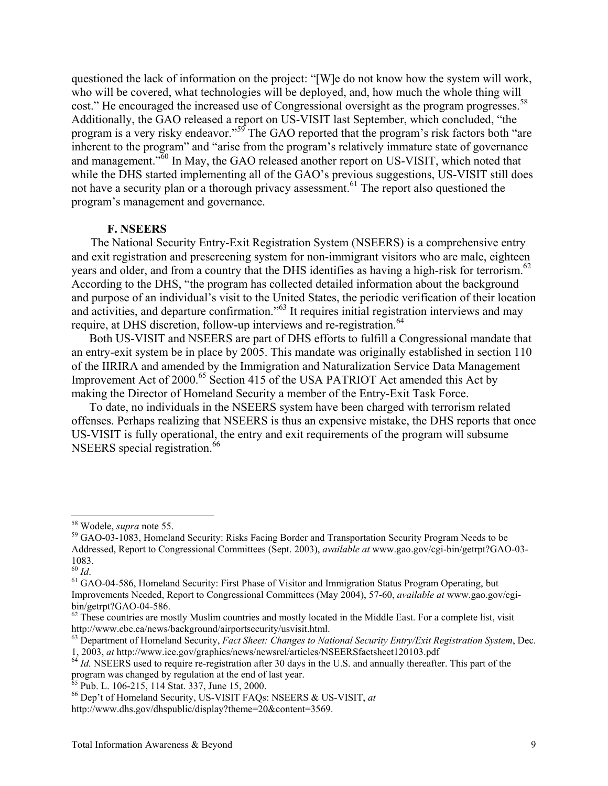questioned the lack of information on the project: "[W]e do not know how the system will work, who will be covered, what technologies will be deployed, and, how much the whole thing will cost." He encouraged the increased use of Congressional oversight as the program progresses.<sup>[58](#page-8-0)</sup> Additionally, the GAO released a report on US-VISIT last September, which concluded, "the program is a very risky endeavor."<sup>59</sup> The GAO reported that the program's risk factors both "are inherent to the program" and "arise from the program's relatively immature state of governance and management.<sup>560</sup> In May, the GAO released another report on US-VISIT, which noted that while the DHS started implementing all of the GAO's previous suggestions, US-VISIT still does not have a security plan or a thorough privacy assessment.<sup>61</sup> The report also questioned the program's management and governance.

#### **F. NSEERS**

The National Security Entry-Exit Registration System (NSEERS) is a comprehensive entry and exit registration and prescreening system for non-immigrant visitors who are male, eighteen years and older, and from a country that the DHS identifies as having a high-risk for terrorism. [62](#page-8-4) According to the DHS, "the program has collected detailed information about the background and purpose of an individual's visit to the United States, the periodic verification of their location and activities, and departure confirmation.<sup>563</sup> It requires initial registration interviews and may require, at DHS discretion, follow-up interviews and re-registration.<sup>64</sup>

Both US-VISIT and NSEERS are part of DHS efforts to fulfill a Congressional mandate that an entry-exit system be in place by 2005. This mandate was originally established in section 110 of the IIRIRA and amended by the Immigration and Naturalization Service Data Management Improvement Act of 2000.<sup>65</sup> Section 415 of the USA PATRIOT Act amended this Act by making the Director of Homeland Security a member of the Entry-Exit Task Force.

To date, no individuals in the NSEERS system have been charged with terrorism related offenses. Perhaps realizing that NSEERS is thus an expensive mistake, the DHS reports that once US-VISIT is fully operational, the entry and exit requirements of the program will subsume NSEERS special registration.<sup>66</sup>

<span id="page-8-1"></span><span id="page-8-0"></span>

<sup>&</sup>lt;sup>58</sup> Wodele, *supra* note 55.<br><sup>59</sup> GAO-03-1083, Homeland Security: Risks Facing Border and Transportation Security Program Needs to be Addressed, Report to Congressional Committees (Sept. 2003), *available at* www.gao.gov/cgi-bin/getrpt?GAO-03-  $\frac{1083}{60}$  *Id.* 

<span id="page-8-2"></span>

<span id="page-8-3"></span><sup>&</sup>lt;sup>61</sup> GAO-04-586, Homeland Security: First Phase of Visitor and Immigration Status Program Operating, but Improvements Needed, Report to Congressional Committees (May 2004), 57-60, *available at* www.gao.gov/cgi-

<span id="page-8-4"></span> $62$  These countries are mostly Muslim countries and mostly located in the Middle East. For a complete list, visit

<span id="page-8-5"></span>http://www.cbc.ca/news/background/airportsecurity/usvisit.html.<br><sup>63</sup> Department of Homeland Security, *Fact Sheet: Changes to National Security Entry/Exit Registration System*, Dec.<br>1, 2003, *at* http://www.ice.gov/graphic

<span id="page-8-6"></span><sup>&</sup>lt;sup>64</sup> *Id.* NSEERS used to require re-registration after 30 days in the U.S. and annually thereafter. This part of the program was changed by regulation at the end of last year.<br><sup>65</sup> Pub. L. 106-215, 114 Stat. 337, June 15, 2000.<br><sup>66</sup> Dep't of Homeland Security, US-VISIT FAQs: NSEERS & US-VISIT, *at* 

<span id="page-8-7"></span>

<span id="page-8-8"></span>

http://www.dhs.gov/dhspublic/display?theme=20&content=3569.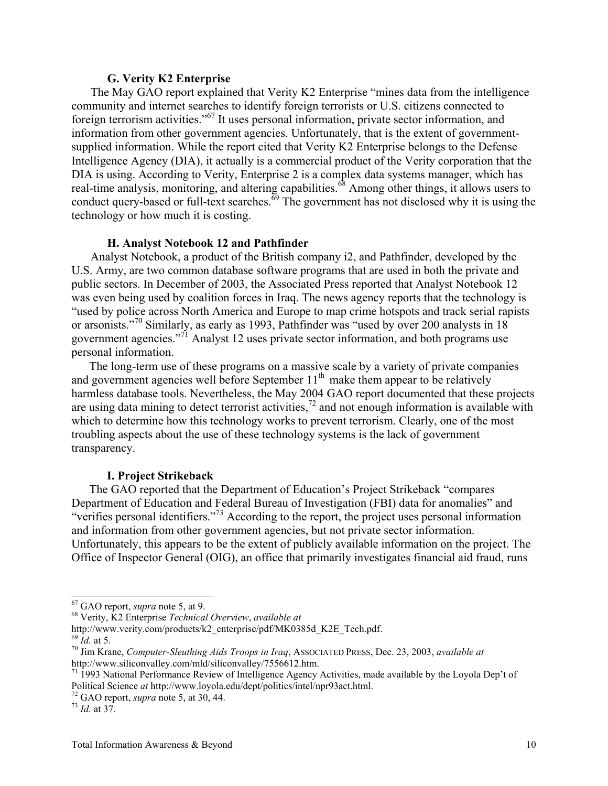#### **G. Verity K2 Enterprise**

The May GAO report explained that Verity K2 Enterprise "mines data from the intelligence community and internet searches to identify foreign terrorists or U.S. citizens connected to foreign terrorism activities."[67](#page-9-0) It uses personal information, private sector information, and information from other government agencies. Unfortunately, that is the extent of governmentsupplied information. While the report cited that Verity K2 Enterprise belongs to the Defense Intelligence Agency (DIA), it actually is a commercial product of the Verity corporation that the DIA is using. According to Verity, Enterprise 2 is a complex data systems manager, which has real-time analysis, monitoring, and altering capabilities.<sup>68</sup> Among other things, it allows users to conduct query-based or full-text searches.<sup> $69$ </sup> The government has not disclosed why it is using the technology or how much it is costing.

#### **H. Analyst Notebook 12 and Pathfinder**

Analyst Notebook, a product of the British company i2, and Pathfinder, developed by the U.S. Army, are two common database software programs that are used in both the private and public sectors. In December of 2003, the Associated Press reported that Analyst Notebook 12 was even being used by coalition forces in Iraq. The news agency reports that the technology is "used by police across North America and Europe to map crime hotspots and track serial rapists or arsonists."<sup>70</sup> Similarly, as early as 1993, Pathfinder was "used by over 200 analysts in 18 government agencies."[71](#page-9-4) Analyst 12 uses private sector information, and both programs use personal information.

The long-term use of these programs on a massive scale by a variety of private companies and government agencies well before September  $11<sup>th</sup>$  make them appear to be relatively harmless database tools. Nevertheless, the May 2004 GAO report documented that these projects are using data mining to detect terrorist activities, $^{72}$  and not enough information is available with which to determine how this technology works to prevent terrorism. Clearly, one of the most troubling aspects about the use of these technology systems is the lack of government transparency.

#### **I. Project Strikeback**

The GAO reported that the Department of Education's Project Strikeback "compares Department of Education and Federal Bureau of Investigation (FBI) data for anomalies" and "verifies personal identifiers."<sup>73</sup> According to the report, the project uses personal information and information from other government agencies, but not private sector information. Unfortunately, this appears to be the extent of publicly available information on the project. The Office of Inspector General (OIG), an office that primarily investigates financial aid fraud, runs

<span id="page-9-1"></span><span id="page-9-0"></span>

67 GAO report, *supra* note 5, at 9. 68 Verity, K2 Enterprise *Technical Overview*, *available at*

<span id="page-9-3"></span><span id="page-9-2"></span>

http://www.verity.com/products/k2\_enterprise/pdf/MK0385d\_K2E\_Tech.pdf.<br><sup>69</sup> *Id.* at 5. 70 Jim Krane, *Computer-Sleuthing Aids Troops in Iraq*, ASSOCIATED PRESS, Dec. 23, 2003, *available at* 

<span id="page-9-4"></span>http://www.siliconvalley.com/mld/siliconvalley/7556612.htm.<br><sup>71</sup> 1993 National Performance Review of Intelligence Agency Activities, made available by the Loyola Dep't of Political Science *at* http://www.loyola.edu/dept/politics/intel/npr93act.html. 72 GAO report, *supra* note 5, at 30, 44. 73 *Id.* at 37.

<span id="page-9-5"></span>

<span id="page-9-6"></span>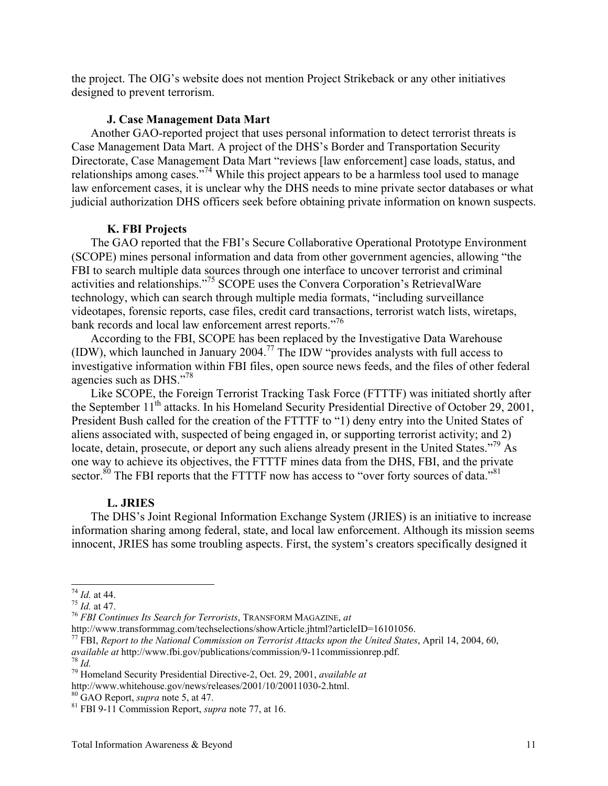the project. The OIG's website does not mention Project Strikeback or any other initiatives designed to prevent terrorism.

#### **J. Case Management Data Mart**

Another GAO-reported project that uses personal information to detect terrorist threats is Case Management Data Mart. A project of the DHS's Border and Transportation Security Directorate, Case Management Data Mart "reviews [law enforcement] case loads, status, and relationships among cases."[74](#page-10-0) While this project appears to be a harmless tool used to manage law enforcement cases, it is unclear why the DHS needs to mine private sector databases or what judicial authorization DHS officers seek before obtaining private information on known suspects.

#### **K. FBI Projects**

The GAO reported that the FBI's Secure Collaborative Operational Prototype Environment (SCOPE) mines personal information and data from other government agencies, allowing "the FBI to search multiple data sources through one interface to uncover terrorist and criminal activities and relationships."[75](#page-10-1) SCOPE uses the Convera Corporation's RetrievalWare technology, which can search through multiple media formats, "including surveillance videotapes, forensic reports, case files, credit card transactions, terrorist watch lists, wiretaps, bank records and local law enforcement arrest reports."<sup>76</sup>

According to the FBI, SCOPE has been replaced by the Investigative Data Warehouse (IDW), which launched in January 2004[.77](#page-10-3) The IDW "provides analysts with full access to investigative information within FBI files, open source news feeds, and the files of other federal agencies such as DHS."[78](#page-10-4)

Like SCOPE, the Foreign Terrorist Tracking Task Force (FTTTF) was initiated shortly after the September 11<sup>th</sup> attacks. In his Homeland Security Presidential Directive of October 29, 2001, President Bush called for the creation of the FTTTF to "1) deny entry into the United States of aliens associated with, suspected of being engaged in, or supporting terrorist activity; and 2) locate, detain, prosecute, or deport any such aliens already present in the United States."<sup>79</sup> As one way to achieve its objectives, the FTTTF mines data from the DHS, FBI, and the private sector.<sup>80</sup> The FBI reports that the FTTTF now has access to "over forty sources of data."<sup>81</sup>

#### **L. JRIES**

The DHS's Joint Regional Information Exchange System (JRIES) is an initiative to increase information sharing among federal, state, and local law enforcement. Although its mission seems innocent, JRIES has some troubling aspects. First, the system's creators specifically designed it

<span id="page-10-0"></span>

<span id="page-10-2"></span><span id="page-10-1"></span>

<sup>74</sup> *Id.* at 44. 75 *Id.* at 47. 76 *FBI Continues Its Search for Terrorists*, TRANSFORM MAGAZINE, *at*

<span id="page-10-3"></span>

http://www.transformmag.com/techselections/showArticle.jhtml?articleID=16101056.<br><sup>77</sup> FBI, *Report to the National Commission on Terrorist Attacks upon the United States*, April 14, 2004, 60,

<span id="page-10-5"></span><span id="page-10-4"></span>

*available at* http://www.fbi.gov/publications/commission/9-11commissionrep.pdf. 78 *Id.* 79 Homeland Security Presidential Directive-2, Oct. 29, 2001, *available at*

http://www.whitehouse.gov/news/releases/2001/10/20011030-2.html. 80 GAO Report, *supra* note 5, at 47. 81 FBI 9-11 Commission Report, *supra* note 77, at 16.

<span id="page-10-6"></span>

<span id="page-10-7"></span>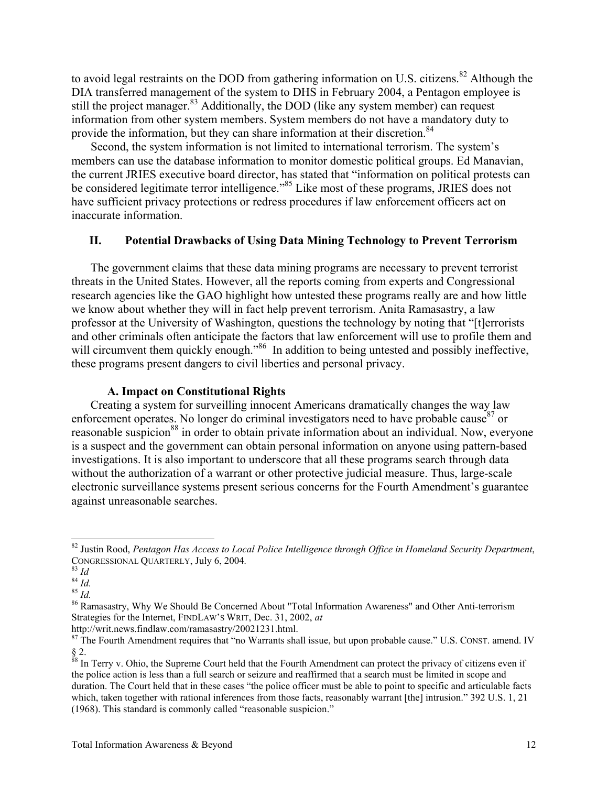to avoid legal restraints on the DOD from gathering information on U.S. citizens.<sup>82</sup> Although the DIA transferred management of the system to DHS in February 2004, a Pentagon employee is still the project manager.<sup>83</sup> Additionally, the DOD (like any system member) can request information from other system members. System members do not have a mandatory duty to provide the information, but they can share information at their discretion.<sup>84</sup>

Second, the system information is not limited to international terrorism. The system's members can use the database information to monitor domestic political groups. Ed Manavian, the current JRIES executive board director, has stated that "information on political protests can be considered legitimate terror intelligence."<sup>85</sup> Like most of these programs, JRIES does not have sufficient privacy protections or redress procedures if law enforcement officers act on inaccurate information.

### **II. Potential Drawbacks of Using Data Mining Technology to Prevent Terrorism**

The government claims that these data mining programs are necessary to prevent terrorist threats in the United States. However, all the reports coming from experts and Congressional research agencies like the GAO highlight how untested these programs really are and how little we know about whether they will in fact help prevent terrorism. Anita Ramasastry, a law professor at the University of Washington, questions the technology by noting that "[t]errorists and other criminals often anticipate the factors that law enforcement will use to profile them and will circumvent them quickly enough."<sup>86</sup> In addition to being untested and possibly ineffective, these programs present dangers to civil liberties and personal privacy.

#### **A. Impact on Constitutional Rights**

Creating a system for surveilling innocent Americans dramatically changes the way law enforcement operates. No longer do criminal investigators need to have probable cause  $87$  or reasonable suspicion<sup>88</sup> in order to obtain private information about an individual. Now, everyone is a suspect and the government can obtain personal information on anyone using pattern-based investigations. It is also important to underscore that all these programs search through data without the authorization of a warrant or other protective judicial measure. Thus, large-scale electronic surveillance systems present serious concerns for the Fourth Amendment's guarantee against unreasonable searches.

<span id="page-11-0"></span>82 Justin Rood, *Pentagon Has Access to Local Police Intelligence through Office in Homeland Security Department*, CONGRESSIONAL QUARTERLY, July 6, 2004*.* <sup>83</sup> *Id*

<span id="page-11-1"></span>

<span id="page-11-2"></span>

<span id="page-11-4"></span><span id="page-11-3"></span>

<sup>&</sup>lt;sup>85</sup> *Id.* 86 *Id.* 86 *Id.* 86 Ramasastry, Why We Should Be Concerned About "Total Information Awareness" and Other Anti-terrorism Strategies for the Internet, FINDLAW'S WRIT, Dec. 31, 2002, *at*

<span id="page-11-5"></span>

http://writ.news.findlaw.com/ramasastry/20021231.html.<br><sup>87</sup> The Fourth Amendment requires that "no Warrants shall issue, but upon probable cause." U.S. CONST. amend. IV  $§$  2.

<span id="page-11-6"></span><sup>&</sup>lt;sup>88</sup> In Terry v. Ohio, the Supreme Court held that the Fourth Amendment can protect the privacy of citizens even if the police action is less than a full search or seizure and reaffirmed that a search must be limited in scope and duration. The Court held that in these cases "the police officer must be able to point to specific and articulable facts which, taken together with rational inferences from those facts, reasonably warrant [the] intrusion." 392 U.S. 1, 21 (1968). This standard is commonly called "reasonable suspicion."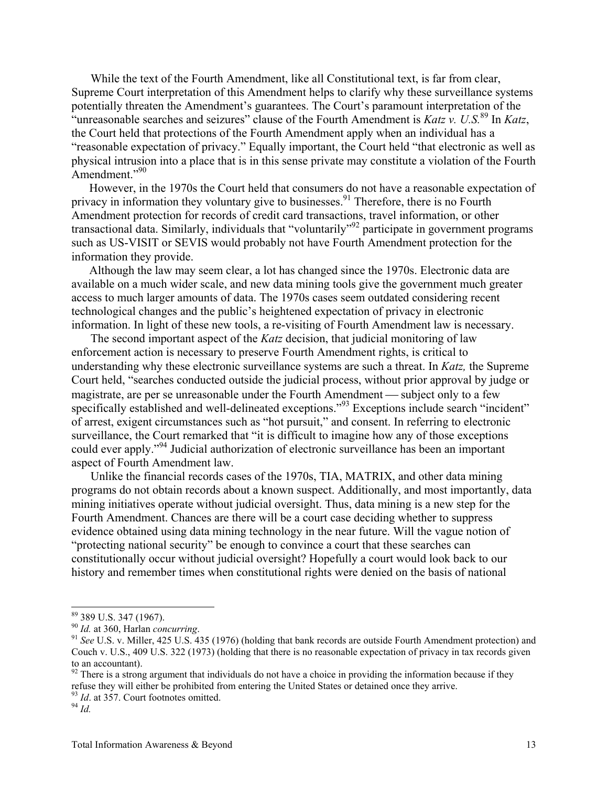While the text of the Fourth Amendment, like all Constitutional text, is far from clear, Supreme Court interpretation of this Amendment helps to clarify why these surveillance systems potentially threaten the Amendment's guarantees. The Court's paramount interpretation of the "unreasonable searches and seizures" clause of the Fourth Amendment is *Katz v. U.S.*[89](#page-12-0) In *Katz*, the Court held that protections of the Fourth Amendment apply when an individual has a "reasonable expectation of privacy." Equally important, the Court held "that electronic as well as physical intrusion into a place that is in this sense private may constitute a violation of the Fourth Amendment."[90](#page-12-1)

However, in the 1970s the Court held that consumers do not have a reasonable expectation of privacy in information they voluntary give to businesses.<sup>91</sup> Therefore, there is no Fourth Amendment protection for records of credit card transactions, travel information, or other transactional data. Similarly, individuals that "voluntarily["92](#page-12-3) participate in government programs such as US-VISIT or SEVIS would probably not have Fourth Amendment protection for the information they provide.

Although the law may seem clear, a lot has changed since the 1970s. Electronic data are available on a much wider scale, and new data mining tools give the government much greater access to much larger amounts of data. The 1970s cases seem outdated considering recent technological changes and the public's heightened expectation of privacy in electronic information. In light of these new tools, a re-visiting of Fourth Amendment law is necessary.

The second important aspect of the *Katz* decision, that judicial monitoring of law enforcement action is necessary to preserve Fourth Amendment rights, is critical to understanding why these electronic surveillance systems are such a threat. In *Katz,* the Supreme Court held, "searches conducted outside the judicial process, without prior approval by judge or magistrate, are per se unreasonable under the Fourth Amendment — subject only to a few specifically established and well-delineated exceptions."<sup>93</sup> Exceptions include search "incident" of arrest, exigent circumstances such as "hot pursuit," and consent. In referring to electronic surveillance, the Court remarked that "it is difficult to imagine how any of those exceptions could ever apply."[94](#page-12-5) Judicial authorization of electronic surveillance has been an important aspect of Fourth Amendment law.

Unlike the financial records cases of the 1970s, TIA, MATRIX, and other data mining programs do not obtain records about a known suspect. Additionally, and most importantly, data mining initiatives operate without judicial oversight. Thus, data mining is a new step for the Fourth Amendment. Chances are there will be a court case deciding whether to suppress evidence obtained using data mining technology in the near future. Will the vague notion of "protecting national security" be enough to convince a court that these searches can constitutionally occur without judicial oversight? Hopefully a court would look back to our history and remember times when constitutional rights were denied on the basis of national

<span id="page-12-4"></span>

<span id="page-12-1"></span><span id="page-12-0"></span>

 $^{89}$  389 U.S. 347 (1967).<br><sup>90</sup> Id. at 360, Harlan *concurring*.

<span id="page-12-2"></span><sup>&</sup>lt;sup>91</sup> *See* U.S. v. Miller, 425 U.S. 435 (1976) (holding that bank records are outside Fourth Amendment protection) and Couch v. U.S., 409 U.S. 322 (1973) (holding that there is no reasonable expectation of privacy in tax records given

<span id="page-12-3"></span>to an accountant). <sup>92</sup> There is a strong argument that individuals do not have a choice in providing the information because if they refuse they will either be prohibited from entering the United States or detained once they arrive. 93 *Id*. at 357. Court footnotes omitted. 94 *Id.*

<span id="page-12-5"></span>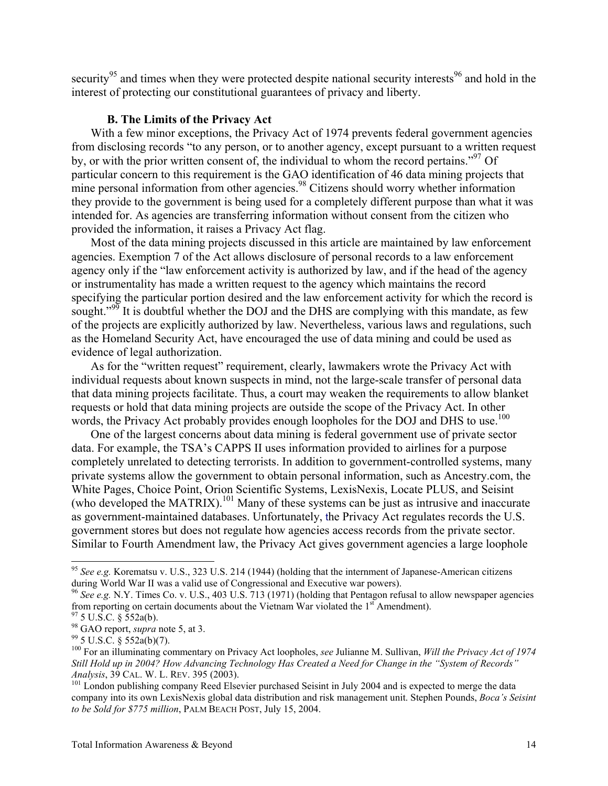security<sup>95</sup> and times when they were protected despite national security interests<sup>96</sup> and hold in the interest of protecting our constitutional guarantees of privacy and liberty.

#### **B. The Limits of the Privacy Act**

With a few minor exceptions, the Privacy Act of 1974 prevents federal government agencies from disclosing records "to any person, or to another agency, except pursuant to a written request by, or with the prior written consent of, the individual to whom the record pertains."<sup>97</sup> Of particular concern to this requirement is the GAO identification of 46 data mining projects that mine personal information from other agencies.<sup>98</sup> Citizens should worry whether information they provide to the government is being used for a completely different purpose than what it was intended for. As agencies are transferring information without consent from the citizen who provided the information, it raises a Privacy Act flag.

Most of the data mining projects discussed in this article are maintained by law enforcement agencies. Exemption 7 of the Act allows disclosure of personal records to a law enforcement agency only if the "law enforcement activity is authorized by law, and if the head of the agency or instrumentality has made a written request to the agency which maintains the record specifying the particular portion desired and the law enforcement activity for which the record is sought."<sup>99</sup> It is doubtful whether the DOJ and the DHS are complying with this mandate, as few of the projects are explicitly authorized by law. Nevertheless, various laws and regulations, such as the Homeland Security Act, have encouraged the use of data mining and could be used as evidence of legal authorization.

As for the "written request" requirement, clearly, lawmakers wrote the Privacy Act with individual requests about known suspects in mind, not the large-scale transfer of personal data that data mining projects facilitate. Thus, a court may weaken the requirements to allow blanket requests or hold that data mining projects are outside the scope of the Privacy Act. In other words, the Privacy Act probably provides enough loopholes for the DOJ and DHS to use.<sup>100</sup>

One of the largest concerns about data mining is federal government use of private sector data. For example, the TSA's CAPPS II uses information provided to airlines for a purpose completely unrelated to detecting terrorists. In addition to government-controlled systems, many private systems allow the government to obtain personal information, such as Ancestry.com, the White Pages, Choice Point, Orion Scientific Systems, LexisNexis, Locate PLUS, and Seisint (who developed the MATRIX).<sup>101</sup> Many of these systems can be just as intrusive and inaccurate as government-maintained databases. Unfortunately, the Privacy Act regulates records the U.S. government stores but does not regulate how agencies access records from the private sector. Similar to Fourth Amendment law, the Privacy Act gives government agencies a large loophole

<span id="page-13-0"></span><sup>&</sup>lt;sup>95</sup> *See e.g.* Korematsu v. U.S., 323 U.S. 214 (1944) (holding that the internment of Japanese-American citizens during World War II was a valid use of Congressional and Executive war powers).

<span id="page-13-1"></span><sup>&</sup>lt;sup>96</sup> See e.g. N.Y. Times Co. v. U.S., 403 U.S. 713 (1971) (holding that Pentagon refusal to allow newspaper agencies from reporting on certain documents about the Vietnam War violated the 1<sup>st</sup> Amendment).

<span id="page-13-2"></span>

<span id="page-13-3"></span>

<span id="page-13-5"></span><span id="page-13-4"></span>

<sup>&</sup>lt;sup>97</sup> 5 U.S.C. § 552a(b).<br><sup>98</sup> GAO report, *supra* note 5, at 3.<br><sup>99</sup> 5 U.S.C. § 552a(b)(7).<br><sup>99</sup> 5 U.S.C. § 552a(b)(7).<br><sup>100</sup> For an illuminating commentary on Privacy Act loopholes, *see* Julianne M. Sullivan, *Will the Still Hold up in 2004? How Advancing Technology Has Created a Need for Change in the "System of Records"* 

<span id="page-13-6"></span><sup>&</sup>lt;sup>101</sup> London publishing company Reed Elsevier purchased Seisint in July 2004 and is expected to merge the data company into its own LexisNexis global data distribution and risk management unit. Stephen Pounds, *Boca's Seisint to be Sold for \$775 million*, PALM BEACH POST, July 15, 2004.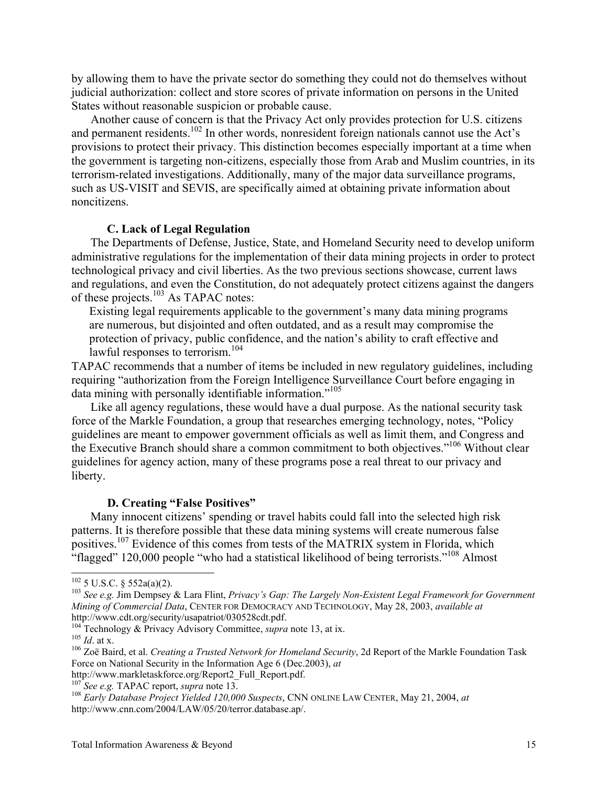by allowing them to have the private sector do something they could not do themselves without judicial authorization: collect and store scores of private information on persons in the United States without reasonable suspicion or probable cause.

Another cause of concern is that the Privacy Act only provides protection for U.S. citizens and permanent residents.<sup>102</sup> In other words, nonresident foreign nationals cannot use the Act's provisions to protect their privacy. This distinction becomes especially important at a time when the government is targeting non-citizens, especially those from Arab and Muslim countries, in its terrorism-related investigations. Additionally, many of the major data surveillance programs, such as US-VISIT and SEVIS, are specifically aimed at obtaining private information about noncitizens.

#### **C. Lack of Legal Regulation**

The Departments of Defense, Justice, State, and Homeland Security need to develop uniform administrative regulations for the implementation of their data mining projects in order to protect technological privacy and civil liberties. As the two previous sections showcase, current laws and regulations, and even the Constitution, do not adequately protect citizens against the dangers of these projects.<sup>103</sup> As TAPAC notes:

Existing legal requirements applicable to the government's many data mining programs are numerous, but disjointed and often outdated, and as a result may compromise the protection of privacy, public confidence, and the nation's ability to craft effective and lawful responses to terrorism.<sup>[104](#page-14-2)</sup>

TAPAC recommends that a number of items be included in new regulatory guidelines, including requiring "authorization from the Foreign Intelligence Surveillance Court before engaging in data mining with personally identifiable information."<sup>105</sup>

Like all agency regulations, these would have a dual purpose. As the national security task force of the Markle Foundation, a group that researches emerging technology, notes, "Policy guidelines are meant to empower government officials as well as limit them, and Congress and the Executive Branch should share a common commitment to both objectives."[106](#page-14-4) Without clear guidelines for agency action, many of these programs pose a real threat to our privacy and liberty.

### **D. Creating "False Positives"**

Many innocent citizens' spending or travel habits could fall into the selected high risk patterns. It is therefore possible that these data mining systems will create numerous false positives.<sup>107</sup> Evidence of this comes from tests of the MATRIX system in Florida, which "flagged" 120,000 people "who had a statistical likelihood of being terrorists."<sup>108</sup> Almost

<span id="page-14-1"></span><span id="page-14-0"></span>

102 5 U.S.C. § 552a(a)(2). 103 *See e.g.* Jim Dempsey & Lara Flint, *Privacy's Gap: The Largely Non-Existent Legal Framework for Government Mining of Commercial Data*, CENTER FOR DEMOCRACY AND TECHNOLOGY, May 28, 2003, *available at*

<span id="page-14-2"></span>

<span id="page-14-4"></span><span id="page-14-3"></span>

<sup>&</sup>lt;sup>104</sup> Technology & Privacy Advisory Committee, *supra* note 13, at ix.<br><sup>105</sup> *Id.* at x.<br><sup>106</sup> Zoë Baird, et al. *Creating a Trusted Network for Homeland Security*, 2d Report of the Markle Foundation Task Force on National Security in the Information Age 6 (Dec.2003), *at*

<span id="page-14-6"></span><span id="page-14-5"></span>

http://www.markletaskforce.org/Report2\_Full\_Report.pdf. 107 *See e.g.* TAPAC report, *supra* note 13. 108 *Early Database Project Yielded 120,000 Suspects*, CNN ONLINE LAW CENTER, May 21, 2004, *at* http://www.cnn.com/2004/LAW/05/20/terror.database.ap/.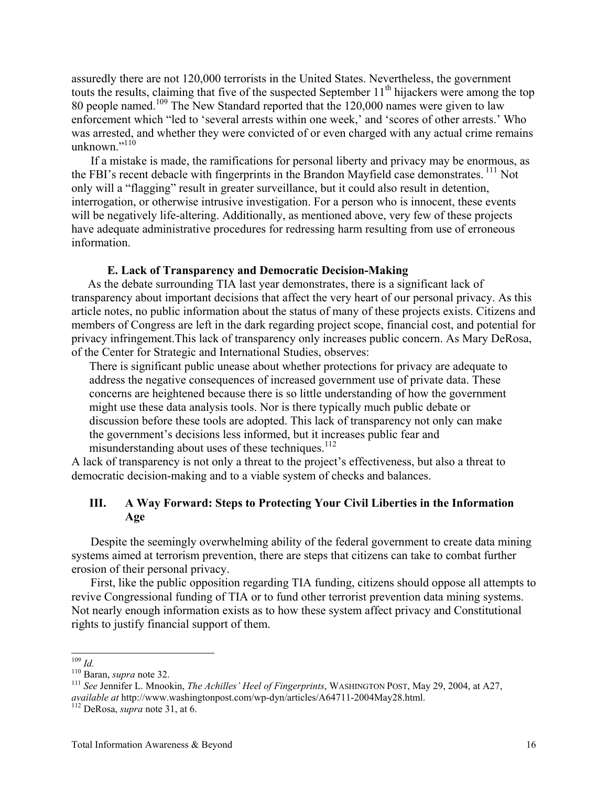assuredly there are not 120,000 terrorists in the United States. Nevertheless, the government touts the results, claiming that five of the suspected September 11<sup>th</sup> hijackers were among the top 80 people named.<sup>109</sup> The New Standard reported that the 120,000 names were given to law enforcement which "led to 'several arrests within one week,' and 'scores of other arrests.' Who was arrested, and whether they were convicted of or even charged with any actual crime remains unknown."<sup>[110](#page-15-1)</sup>

If a mistake is made, the ramifications for personal liberty and privacy may be enormous, as the FBI's recent debacle with fingerprints in the Brandon Mayfield case demonstrates.<sup>111</sup> Not only will a "flagging" result in greater surveillance, but it could also result in detention, interrogation, or otherwise intrusive investigation. For a person who is innocent, these events will be negatively life-altering. Additionally, as mentioned above, very few of these projects have adequate administrative procedures for redressing harm resulting from use of erroneous information.

#### **E. Lack of Transparency and Democratic Decision-Making**

As the debate surrounding TIA last year demonstrates, there is a significant lack of transparency about important decisions that affect the very heart of our personal privacy. As this article notes, no public information about the status of many of these projects exists. Citizens and members of Congress are left in the dark regarding project scope, financial cost, and potential for privacy infringement.This lack of transparency only increases public concern. As Mary DeRosa, of the Center for Strategic and International Studies, observes:

There is significant public unease about whether protections for privacy are adequate to address the negative consequences of increased government use of private data. These concerns are heightened because there is so little understanding of how the government might use these data analysis tools. Nor is there typically much public debate or discussion before these tools are adopted. This lack of transparency not only can make the government's decisions less informed, but it increases public fear and misunderstanding about uses of these techniques.<sup>[112](#page-15-3)</sup>

A lack of transparency is not only a threat to the project's effectiveness, but also a threat to democratic decision-making and to a viable system of checks and balances.

### **III. A Way Forward: Steps to Protecting Your Civil Liberties in the Information Age**

Despite the seemingly overwhelming ability of the federal government to create data mining systems aimed at terrorism prevention, there are steps that citizens can take to combat further erosion of their personal privacy.

First, like the public opposition regarding TIA funding, citizens should oppose all attempts to revive Congressional funding of TIA or to fund other terrorist prevention data mining systems. Not nearly enough information exists as to how these system affect privacy and Constitutional rights to justify financial support of them.

<span id="page-15-0"></span>

<span id="page-15-2"></span><span id="page-15-1"></span>

<sup>109</sup> *Id.* 110 Baran, *supra* note 32. <sup>111</sup> *See* Jennifer L. Mnookin, *The Achilles' Heel of Fingerprints*, WASHINGTON POST, May 29, 2004, at A27, *available at* http://www.washingtonpost.com/wp-dyn/articles/A64711-2004May28.html. 112 DeRosa, *supra* note 31, at 6.

<span id="page-15-3"></span>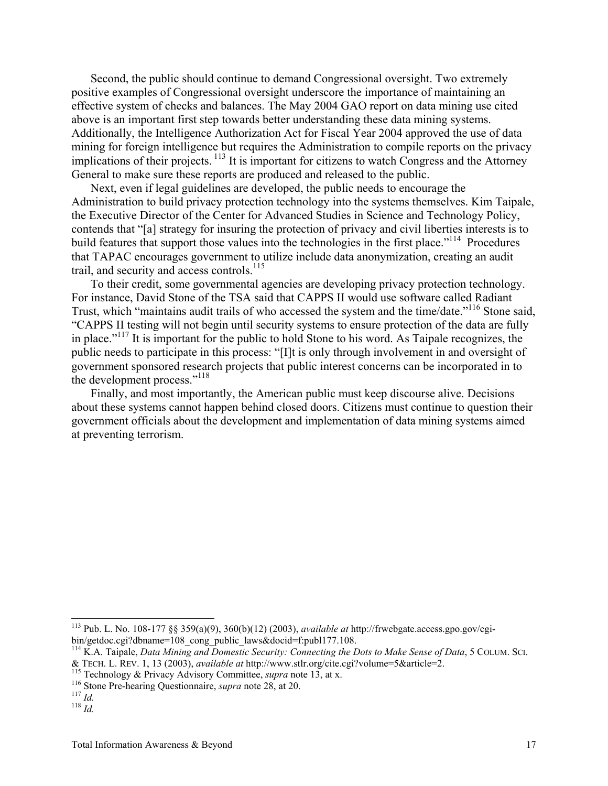Second, the public should continue to demand Congressional oversight. Two extremely positive examples of Congressional oversight underscore the importance of maintaining an effective system of checks and balances. The May 2004 GAO report on data mining use cited above is an important first step towards better understanding these data mining systems. Additionally, the Intelligence Authorization Act for Fiscal Year 2004 approved the use of data mining for foreign intelligence but requires the Administration to compile reports on the privacy implications of their projects. [113](#page-16-0) It is important for citizens to watch Congress and the Attorney General to make sure these reports are produced and released to the public.

Next, even if legal guidelines are developed, the public needs to encourage the Administration to build privacy protection technology into the systems themselves. Kim Taipale, the Executive Director of the Center for Advanced Studies in Science and Technology Policy, contends that "[a] strategy for insuring the protection of privacy and civil liberties interests is to build features that support those values into the technologies in the first place."<sup>114</sup> Procedures that TAPAC encourages government to utilize include data anonymization, creating an audit trail, and security and access controls.<sup>115</sup>

To their credit, some governmental agencies are developing privacy protection technology. For instance, David Stone of the TSA said that CAPPS II would use software called Radiant Trust, which "maintains audit trails of who accessed the system and the time/date."<sup>116</sup> Stone said, "CAPPS II testing will not begin until security systems to ensure protection of the data are fully in place."<sup>117</sup> It is important for the public to hold Stone to his word. As Taipale recognizes, the public needs to participate in this process: "[I]t is only through involvement in and oversight of government sponsored research projects that public interest concerns can be incorporated in to the development process."<sup>118</sup>

Finally, and most importantly, the American public must keep discourse alive. Decisions about these systems cannot happen behind closed doors. Citizens must continue to question their government officials about the development and implementation of data mining systems aimed at preventing terrorism.

<span id="page-16-0"></span>113 Pub. L. No. 108-177 §§ 359(a)(9), 360(b)(12) (2003), *available at* http://frwebgate.access.gpo.gov/cgi-

<span id="page-16-1"></span> $^{114}$  K.A. Taipale, *Data Mining and Domestic Security: Connecting the Dots to Make Sense of Data*, 5 COLUM. SCI. & TECH. L. REV. 1, 13 (2003), *available at* http://www.stlr.org/cite.cgi?volume=5&article=2.<br><sup>115</sup> Technology & Privacy Advisory Committee, *supra* note 13, at x.<br><sup>116</sup> Stone Pre-hearing Questionnaire, *supra* note 28, a

<span id="page-16-2"></span>

<span id="page-16-3"></span>

<span id="page-16-5"></span><span id="page-16-4"></span>